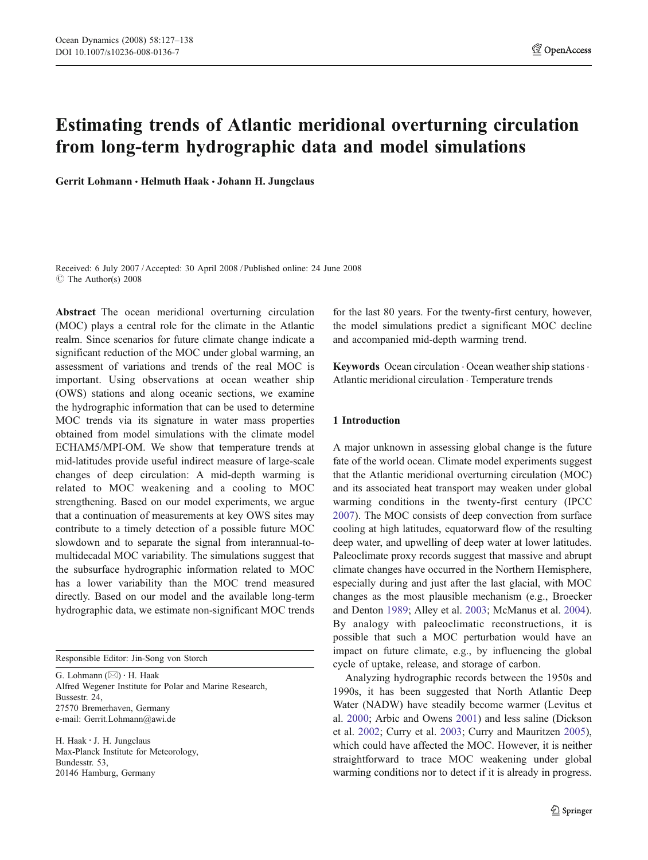# Estimating trends of Atlantic meridional overturning circulation from long-term hydrographic data and model simulations

Gerrit Lohmann · Helmuth Haak · Johann H. Jungclaus

Received: 6 July 2007 /Accepted: 30 April 2008 / Published online: 24 June 2008  $\circ$  The Author(s) 2008

Abstract The ocean meridional overturning circulation (MOC) plays a central role for the climate in the Atlantic realm. Since scenarios for future climate change indicate a significant reduction of the MOC under global warming, an assessment of variations and trends of the real MOC is important. Using observations at ocean weather ship (OWS) stations and along oceanic sections, we examine the hydrographic information that can be used to determine MOC trends via its signature in water mass properties obtained from model simulations with the climate model ECHAM5/MPI-OM. We show that temperature trends at mid-latitudes provide useful indirect measure of large-scale changes of deep circulation: A mid-depth warming is related to MOC weakening and a cooling to MOC strengthening. Based on our model experiments, we argue that a continuation of measurements at key OWS sites may contribute to a timely detection of a possible future MOC slowdown and to separate the signal from interannual-tomultidecadal MOC variability. The simulations suggest that the subsurface hydrographic information related to MOC has a lower variability than the MOC trend measured directly. Based on our model and the available long-term hydrographic data, we estimate non-significant MOC trends

Responsible Editor: Jin-Song von Storch

G. Lohmann (*\**) : H. Haak Alfred Wegener Institute for Polar and Marine Research, Bussestr. 24, 27570 Bremerhaven, Germany e-mail: Gerrit.Lohmann@awi.de

H. Haak : J. H. Jungclaus Max-Planck Institute for Meteorology, Bundesstr. 53, 20146 Hamburg, Germany

for the last 80 years. For the twenty-first century, however, the model simulations predict a significant MOC decline and accompanied mid-depth warming trend.

Keywords Ocean circulation · Ocean weather ship stations · Atlantic meridional circulation . Temperature trends

# 1 Introduction

A major unknown in assessing global change is the future fate of the world ocean. Climate model experiments suggest that the Atlantic meridional overturning circulation (MOC) and its associated heat transport may weaken under global warming conditions in the twenty-first century (IPCC [2007](#page-10-0)). The MOC consists of deep convection from surface cooling at high latitudes, equatorward flow of the resulting deep water, and upwelling of deep water at lower latitudes. Paleoclimate proxy records suggest that massive and abrupt climate changes have occurred in the Northern Hemisphere, especially during and just after the last glacial, with MOC changes as the most plausible mechanism (e.g., Broecker and Denton [1989](#page-10-0); Alley et al. [2003;](#page-10-0) McManus et al. [2004\)](#page-10-0). By analogy with paleoclimatic reconstructions, it is possible that such a MOC perturbation would have an impact on future climate, e.g., by influencing the global cycle of uptake, release, and storage of carbon.

Analyzing hydrographic records between the 1950s and 1990s, it has been suggested that North Atlantic Deep Water (NADW) have steadily become warmer (Levitus et al. [2000](#page-10-0); Arbic and Owens [2001](#page-10-0)) and less saline (Dickson et al. [2002](#page-10-0); Curry et al. [2003;](#page-10-0) Curry and Mauritzen [2005\)](#page-10-0), which could have affected the MOC. However, it is neither straightforward to trace MOC weakening under global warming conditions nor to detect if it is already in progress.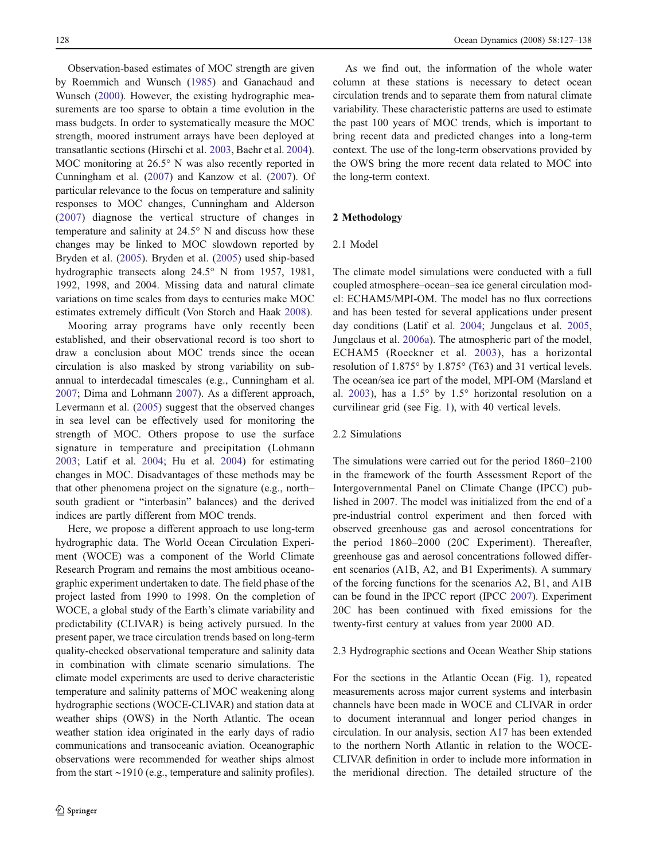Observation-based estimates of MOC strength are given by Roemmich and Wunsch [\(1985](#page-11-0)) and Ganachaud and Wunsch [\(2000](#page-10-0)). However, the existing hydrographic measurements are too sparse to obtain a time evolution in the mass budgets. In order to systematically measure the MOC strength, moored instrument arrays have been deployed at transatlantic sections (Hirschi et al. [2003,](#page-10-0) Baehr et al. [2004](#page-10-0)). MOC monitoring at 26.5° N was also recently reported in Cunningham et al. ([2007\)](#page-10-0) and Kanzow et al. ([2007\)](#page-10-0). Of particular relevance to the focus on temperature and salinity responses to MOC changes, Cunningham and Alderson [\(2007](#page-10-0)) diagnose the vertical structure of changes in temperature and salinity at 24.5° N and discuss how these changes may be linked to MOC slowdown reported by Bryden et al. [\(2005](#page-10-0)). Bryden et al. ([2005\)](#page-10-0) used ship-based hydrographic transects along 24.5° N from 1957, 1981, 1992, 1998, and 2004. Missing data and natural climate variations on time scales from days to centuries make MOC estimates extremely difficult (Von Storch and Haak [2008\)](#page-11-0).

Mooring array programs have only recently been established, and their observational record is too short to draw a conclusion about MOC trends since the ocean circulation is also masked by strong variability on subannual to interdecadal timescales (e.g., Cunningham et al. [2007;](#page-10-0) Dima and Lohmann [2007\)](#page-10-0). As a different approach, Levermann et al. ([2005\)](#page-10-0) suggest that the observed changes in sea level can be effectively used for monitoring the strength of MOC. Others propose to use the surface signature in temperature and precipitation (Lohmann [2003;](#page-10-0) Latif et al. [2004](#page-10-0); Hu et al. [2004\)](#page-10-0) for estimating changes in MOC. Disadvantages of these methods may be that other phenomena project on the signature (e.g., north– south gradient or "interbasin" balances) and the derived indices are partly different from MOC trends.

Here, we propose a different approach to use long-term hydrographic data. The World Ocean Circulation Experiment (WOCE) was a component of the World Climate Research Program and remains the most ambitious oceanographic experiment undertaken to date. The field phase of the project lasted from 1990 to 1998. On the completion of WOCE, a global study of the Earth's climate variability and predictability (CLIVAR) is being actively pursued. In the present paper, we trace circulation trends based on long-term quality-checked observational temperature and salinity data in combination with climate scenario simulations. The climate model experiments are used to derive characteristic temperature and salinity patterns of MOC weakening along hydrographic sections (WOCE-CLIVAR) and station data at weather ships (OWS) in the North Atlantic. The ocean weather station idea originated in the early days of radio communications and transoceanic aviation. Oceanographic observations were recommended for weather ships almost from the start ∼1910 (e.g., temperature and salinity profiles).

As we find out, the information of the whole water column at these stations is necessary to detect ocean circulation trends and to separate them from natural climate variability. These characteristic patterns are used to estimate the past 100 years of MOC trends, which is important to bring recent data and predicted changes into a long-term context. The use of the long-term observations provided by the OWS bring the more recent data related to MOC into the long-term context.

# 2 Methodology

# 2.1 Model

The climate model simulations were conducted with a full coupled atmosphere–ocean–sea ice general circulation model: ECHAM5/MPI-OM. The model has no flux corrections and has been tested for several applications under present day conditions (Latif et al. [2004](#page-10-0); Jungclaus et al. [2005,](#page-10-0) Jungclaus et al. [2006a\)](#page-10-0). The atmospheric part of the model, ECHAM5 (Roeckner et al. [2003](#page-11-0)), has a horizontal resolution of 1.875° by 1.875° (T63) and 31 vertical levels. The ocean/sea ice part of the model, MPI-OM (Marsland et al. [2003\)](#page-10-0), has a 1.5° by 1.5° horizontal resolution on a curvilinear grid (see Fig. [1](#page-2-0)), with 40 vertical levels.

# 2.2 Simulations

The simulations were carried out for the period 1860–2100 in the framework of the fourth Assessment Report of the Intergovernmental Panel on Climate Change (IPCC) published in 2007. The model was initialized from the end of a pre-industrial control experiment and then forced with observed greenhouse gas and aerosol concentrations for the period 1860–2000 (20C Experiment). Thereafter, greenhouse gas and aerosol concentrations followed different scenarios (A1B, A2, and B1 Experiments). A summary of the forcing functions for the scenarios A2, B1, and A1B can be found in the IPCC report (IPCC [2007](#page-10-0)). Experiment 20C has been continued with fixed emissions for the twenty-first century at values from year 2000 AD.

# 2.3 Hydrographic sections and Ocean Weather Ship stations

For the sections in the Atlantic Ocean (Fig. [1\)](#page-2-0), repeated measurements across major current systems and interbasin channels have been made in WOCE and CLIVAR in order to document interannual and longer period changes in circulation. In our analysis, section A17 has been extended to the northern North Atlantic in relation to the WOCE-CLIVAR definition in order to include more information in the meridional direction. The detailed structure of the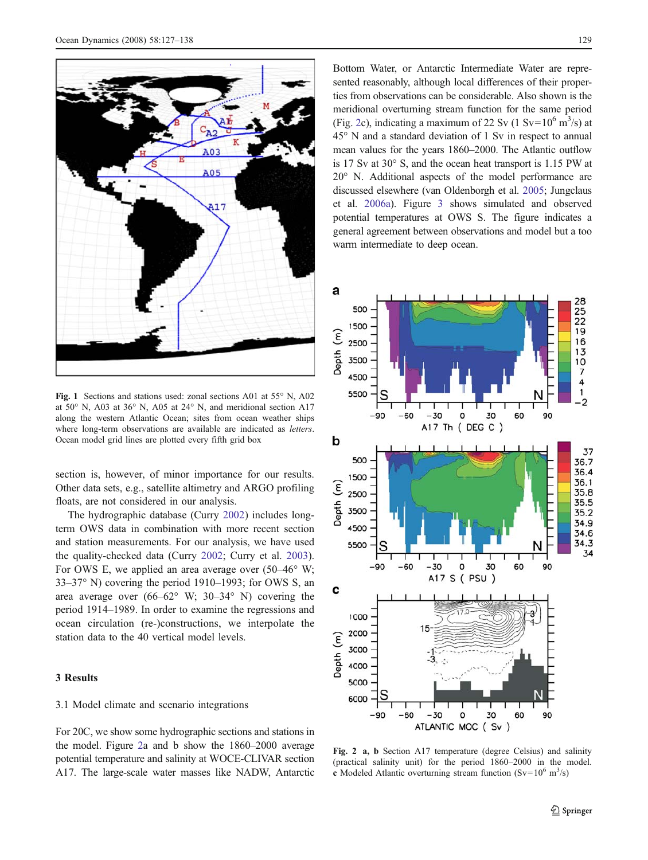<span id="page-2-0"></span>

Fig. 1 Sections and stations used: zonal sections A01 at 55° N, A02 at 50° N, A03 at 36° N, A05 at 24° N, and meridional section A17 along the western Atlantic Ocean; sites from ocean weather ships where long-term observations are available are indicated as *letters*. Ocean model grid lines are plotted every fifth grid box

section is, however, of minor importance for our results. Other data sets, e.g., satellite altimetry and ARGO profiling floats, are not considered in our analysis.

The hydrographic database (Curry [2002](#page-10-0)) includes longterm OWS data in combination with more recent section and station measurements. For our analysis, we have used the quality-checked data (Curry [2002;](#page-10-0) Curry et al. [2003](#page-10-0)). For OWS E, we applied an area average over  $(50-46° \text{ W};$ 33–37° N) covering the period 1910–1993; for OWS S, an area average over (66–62° W; 30–34° N) covering the period 1914–1989. In order to examine the regressions and ocean circulation (re-)constructions, we interpolate the station data to the 40 vertical model levels.

# 3 Results

# 3.1 Model climate and scenario integrations

For 20C, we show some hydrographic sections and stations in the model. Figure 2a and b show the 1860–2000 average potential temperature and salinity at WOCE-CLIVAR section A17. The large-scale water masses like NADW, Antarctic

Bottom Water, or Antarctic Intermediate Water are represented reasonably, although local differences of their properties from observations can be considerable. Also shown is the meridional overturning stream function for the same period (Fig. 2c), indicating a maximum of 22 Sv (1 Sv= $10^6$  m<sup>3</sup>/s) at 45° N and a standard deviation of 1 Sv in respect to annual mean values for the years 1860–2000. The Atlantic outflow is 17 Sv at 30° S, and the ocean heat transport is 1.15 PW at 20° N. Additional aspects of the model performance are discussed elsewhere (van Oldenborgh et al. [2005](#page-11-0); Jungclaus et al. [2006a\)](#page-10-0). Figure [3](#page-3-0) shows simulated and observed potential temperatures at OWS S. The figure indicates a general agreement between observations and model but a too warm intermediate to deep ocean.



Fig. 2 a, b Section A17 temperature (degree Celsius) and salinity (practical salinity unit) for the period 1860–2000 in the model. c Modeled Atlantic overturning stream function (Sv= $10^6$  m<sup>3</sup>/s)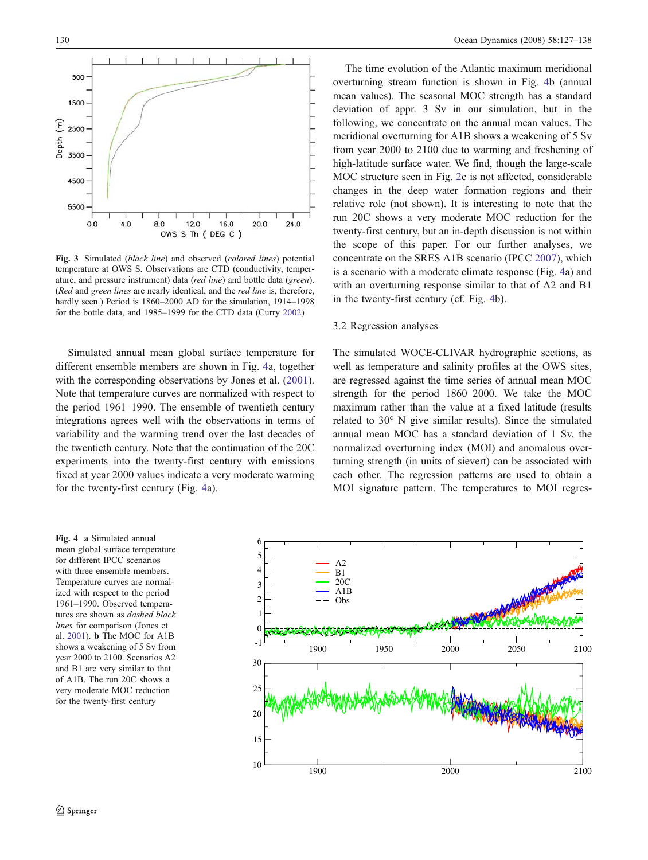<span id="page-3-0"></span>

Fig. 3 Simulated (black line) and observed (colored lines) potential temperature at OWS S. Observations are CTD (conductivity, temperature, and pressure instrument) data (red line) and bottle data (green). (Red and green lines are nearly identical, and the red line is, therefore, hardly seen.) Period is 1860–2000 AD for the simulation, 1914–1998 for the bottle data, and 1985–1999 for the CTD data (Curry [2002](#page-10-0))

Simulated annual mean global surface temperature for different ensemble members are shown in Fig. 4a, together with the corresponding observations by Jones et al. [\(2001](#page-10-0)). Note that temperature curves are normalized with respect to the period 1961–1990. The ensemble of twentieth century integrations agrees well with the observations in terms of variability and the warming trend over the last decades of the twentieth century. Note that the continuation of the 20C experiments into the twenty-first century with emissions fixed at year 2000 values indicate a very moderate warming for the twenty-first century (Fig. 4a).

The time evolution of the Atlantic maximum meridional overturning stream function is shown in Fig. 4b (annual mean values). The seasonal MOC strength has a standard deviation of appr. 3 Sv in our simulation, but in the following, we concentrate on the annual mean values. The meridional overturning for A1B shows a weakening of 5 Sv from year 2000 to 2100 due to warming and freshening of high-latitude surface water. We find, though the large-scale MOC structure seen in Fig. [2c](#page-2-0) is not affected, considerable changes in the deep water formation regions and their relative role (not shown). It is interesting to note that the run 20C shows a very moderate MOC reduction for the twenty-first century, but an in-depth discussion is not within the scope of this paper. For our further analyses, we concentrate on the SRES A1B scenario (IPCC [2007\)](#page-10-0), which is a scenario with a moderate climate response (Fig. 4a) and with an overturning response similar to that of A2 and B1 in the twenty-first century (cf. Fig. 4b).

#### 3.2 Regression analyses

The simulated WOCE-CLIVAR hydrographic sections, as well as temperature and salinity profiles at the OWS sites, are regressed against the time series of annual mean MOC strength for the period 1860–2000. We take the MOC maximum rather than the value at a fixed latitude (results related to 30° N give similar results). Since the simulated annual mean MOC has a standard deviation of 1 Sv, the normalized overturning index (MOI) and anomalous overturning strength (in units of sievert) can be associated with each other. The regression patterns are used to obtain a MOI signature pattern. The temperatures to MOI regres-

Fig. 4 a Simulated annual mean global surface temperature for different IPCC scenarios with three ensemble members. Temperature curves are normalized with respect to the period 1961–1990. Observed temperatures are shown as dashed black lines for comparison (Jones et al. [2001\)](#page-10-0). b The MOC for A1B shows a weakening of 5 Sv from year 2000 to 2100. Scenarios A2 and B1 are very similar to that of A1B. The run 20C shows a very moderate MOC reduction for the twenty-first century

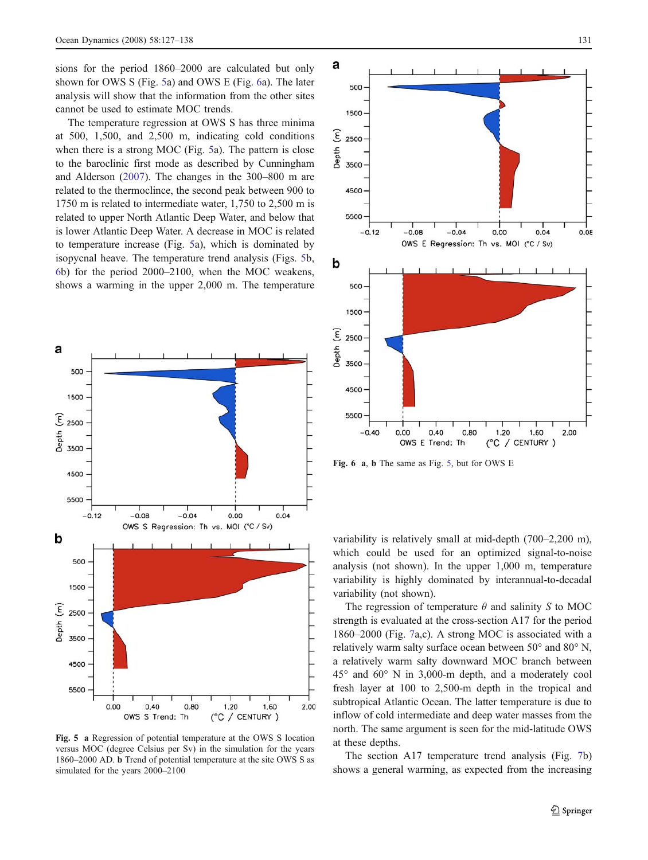<span id="page-4-0"></span>sions for the period 1860–2000 are calculated but only shown for OWS S (Fig. 5a) and OWS E (Fig. 6a). The later analysis will show that the information from the other sites cannot be used to estimate MOC trends.

The temperature regression at OWS S has three minima at 500, 1,500, and 2,500 m, indicating cold conditions when there is a strong MOC (Fig. 5a). The pattern is close to the baroclinic first mode as described by Cunningham and Alderson [\(2007](#page-10-0)). The changes in the 300–800 m are related to the thermoclince, the second peak between 900 to 1750 m is related to intermediate water, 1,750 to 2,500 m is related to upper North Atlantic Deep Water, and below that is lower Atlantic Deep Water. A decrease in MOC is related to temperature increase (Fig. 5a), which is dominated by isopycnal heave. The temperature trend analysis (Figs. 5b, 6b) for the period 2000–2100, when the MOC weakens, shows a warming in the upper 2,000 m. The temperature



Fig. 5 a Regression of potential temperature at the OWS S location versus MOC (degree Celsius per Sv) in the simulation for the years 1860–2000 AD. b Trend of potential temperature at the site OWS S as simulated for the years 2000–2100



Fig. 6 a, b The same as Fig. 5, but for OWS E

variability is relatively small at mid-depth (700–2,200 m), which could be used for an optimized signal-to-noise analysis (not shown). In the upper 1,000 m, temperature variability is highly dominated by interannual-to-decadal variability (not shown).

The regression of temperature  $\theta$  and salinity S to MOC strength is evaluated at the cross-section A17 for the period 1860–2000 (Fig. [7](#page-5-0)a,c). A strong MOC is associated with a relatively warm salty surface ocean between 50° and 80° N, a relatively warm salty downward MOC branch between 45° and 60° N in 3,000-m depth, and a moderately cool fresh layer at 100 to 2,500-m depth in the tropical and subtropical Atlantic Ocean. The latter temperature is due to inflow of cold intermediate and deep water masses from the north. The same argument is seen for the mid-latitude OWS at these depths.

The section A17 temperature trend analysis (Fig. [7](#page-5-0)b) shows a general warming, as expected from the increasing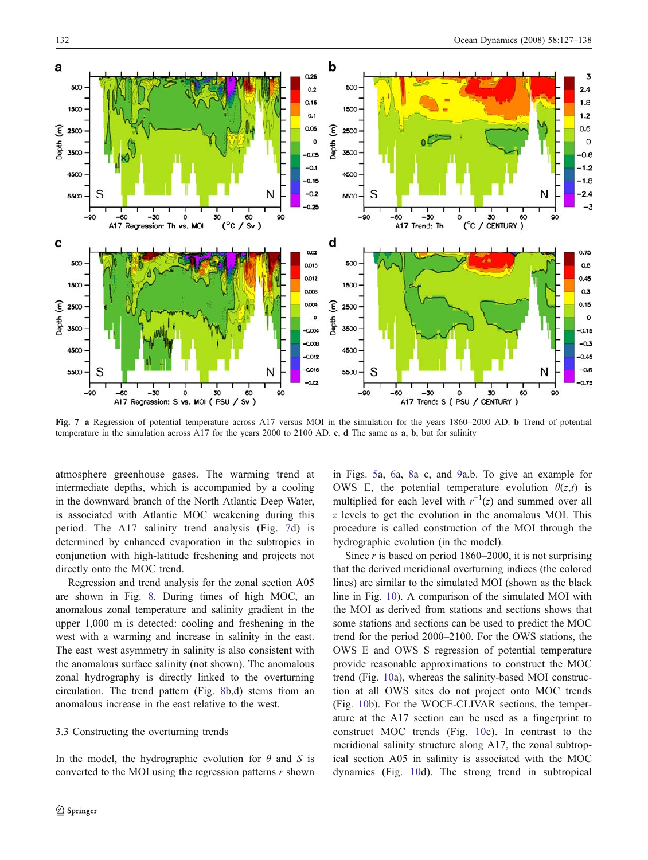<span id="page-5-0"></span>

Fig. 7 a Regression of potential temperature across A17 versus MOI in the simulation for the years 1860–2000 AD. **b** Trend of potential temperature in the simulation across A17 for the years 2000 to 2100 AD. c, d The same as a, b, but for salinity

atmosphere greenhouse gases. The warming trend at intermediate depths, which is accompanied by a cooling in the downward branch of the North Atlantic Deep Water, is associated with Atlantic MOC weakening during this period. The A17 salinity trend analysis (Fig. 7d) is determined by enhanced evaporation in the subtropics in conjunction with high-latitude freshening and projects not directly onto the MOC trend.

Regression and trend analysis for the zonal section A05 are shown in Fig. [8](#page-6-0). During times of high MOC, an anomalous zonal temperature and salinity gradient in the upper 1,000 m is detected: cooling and freshening in the west with a warming and increase in salinity in the east. The east–west asymmetry in salinity is also consistent with the anomalous surface salinity (not shown). The anomalous zonal hydrography is directly linked to the overturning circulation. The trend pattern (Fig. [8](#page-6-0)b,d) stems from an anomalous increase in the east relative to the west.

# 3.3 Constructing the overturning trends

In the model, the hydrographic evolution for  $\theta$  and S is converted to the MOI using the regression patterns  $r$  shown in Figs. [5a](#page-4-0), [6](#page-4-0)a, [8](#page-6-0)a–c, and [9](#page-7-0)a,b. To give an example for OWS E, the potential temperature evolution  $\theta(z,t)$  is multiplied for each level with  $r^{-1}(z)$  and summed over all z levels to get the evolution in the anomalous MOI. This procedure is called construction of the MOI through the hydrographic evolution (in the model).

Since  $r$  is based on period 1860–2000, it is not surprising that the derived meridional overturning indices (the colored lines) are similar to the simulated MOI (shown as the black line in Fig. [10\)](#page-8-0). A comparison of the simulated MOI with the MOI as derived from stations and sections shows that some stations and sections can be used to predict the MOC trend for the period 2000–2100. For the OWS stations, the OWS E and OWS S regression of potential temperature provide reasonable approximations to construct the MOC trend (Fig. [10](#page-8-0)a), whereas the salinity-based MOI construction at all OWS sites do not project onto MOC trends (Fig. [10](#page-8-0)b). For the WOCE-CLIVAR sections, the temperature at the A17 section can be used as a fingerprint to construct MOC trends (Fig. [10](#page-8-0)c). In contrast to the meridional salinity structure along A17, the zonal subtropical section A05 in salinity is associated with the MOC dynamics (Fig. [10](#page-8-0)d). The strong trend in subtropical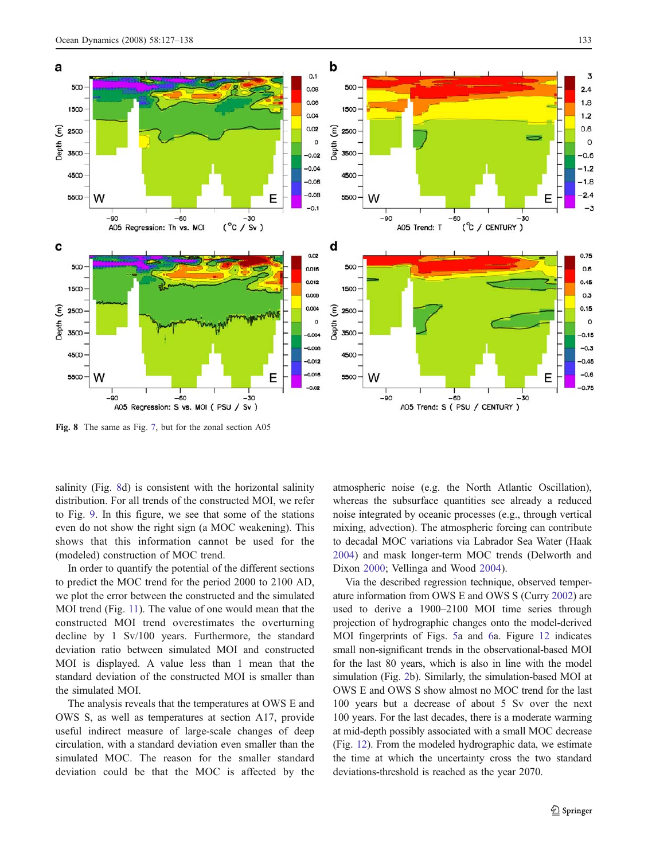<span id="page-6-0"></span>

Fig. 8 The same as Fig. [7](#page-5-0), but for the zonal section A05

salinity (Fig. 8d) is consistent with the horizontal salinity distribution. For all trends of the constructed MOI, we refer to Fig. [9](#page-7-0). In this figure, we see that some of the stations even do not show the right sign (a MOC weakening). This shows that this information cannot be used for the (modeled) construction of MOC trend.

In order to quantify the potential of the different sections to predict the MOC trend for the period 2000 to 2100 AD, we plot the error between the constructed and the simulated MOI trend (Fig. [11\)](#page-8-0). The value of one would mean that the constructed MOI trend overestimates the overturning decline by 1 Sv/100 years. Furthermore, the standard deviation ratio between simulated MOI and constructed MOI is displayed. A value less than 1 mean that the standard deviation of the constructed MOI is smaller than the simulated MOI.

The analysis reveals that the temperatures at OWS E and OWS S, as well as temperatures at section A17, provide useful indirect measure of large-scale changes of deep circulation, with a standard deviation even smaller than the simulated MOC. The reason for the smaller standard deviation could be that the MOC is affected by the atmospheric noise (e.g. the North Atlantic Oscillation), whereas the subsurface quantities see already a reduced noise integrated by oceanic processes (e.g., through vertical mixing, advection). The atmospheric forcing can contribute to decadal MOC variations via Labrador Sea Water (Haak [2004](#page-10-0)) and mask longer-term MOC trends (Delworth and Dixon [2000](#page-10-0); Vellinga and Wood [2004\)](#page-11-0).

Via the described regression technique, observed temperature information from OWS E and OWS S (Curry [2002\)](#page-10-0) are used to derive a 1900–2100 MOI time series through projection of hydrographic changes onto the model-derived MOI fingerprints of Figs. [5](#page-4-0)a and [6a](#page-4-0). Figure [12](#page-9-0) indicates small non-significant trends in the observational-based MOI for the last 80 years, which is also in line with the model simulation (Fig. [2b](#page-2-0)). Similarly, the simulation-based MOI at OWS E and OWS S show almost no MOC trend for the last 100 years but a decrease of about 5 Sv over the next 100 years. For the last decades, there is a moderate warming at mid-depth possibly associated with a small MOC decrease (Fig. [12](#page-9-0)). From the modeled hydrographic data, we estimate the time at which the uncertainty cross the two standard deviations-threshold is reached as the year 2070.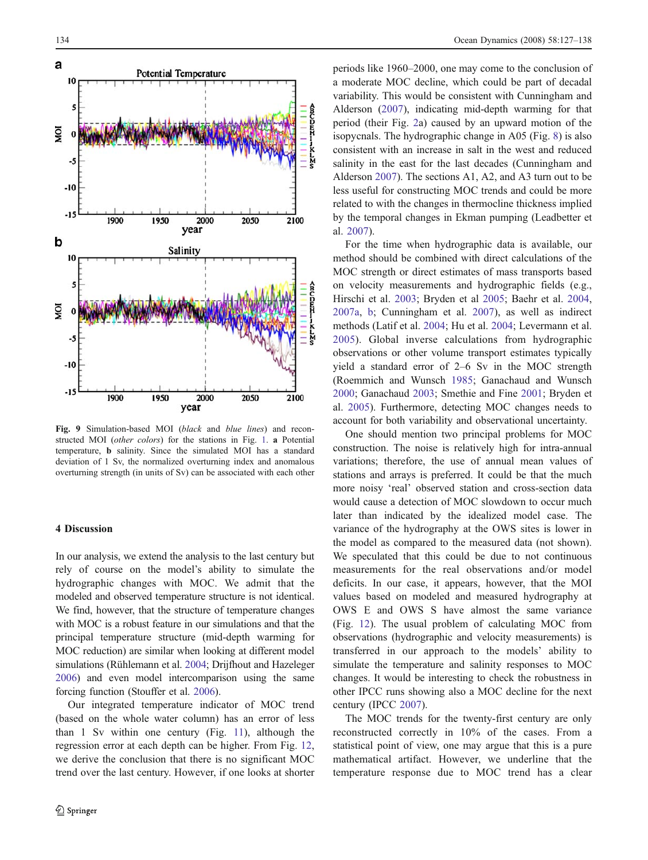<span id="page-7-0"></span>

Fig. 9 Simulation-based MOI (black and blue lines) and reconstructed MOI (other colors) for the stations in Fig. [1.](#page-2-0) a Potential temperature, b salinity. Since the simulated MOI has a standard deviation of 1 Sv, the normalized overturning index and anomalous overturning strength (in units of Sv) can be associated with each other

# 4 Discussion

In our analysis, we extend the analysis to the last century but rely of course on the model's ability to simulate the hydrographic changes with MOC. We admit that the modeled and observed temperature structure is not identical. We find, however, that the structure of temperature changes with MOC is a robust feature in our simulations and that the principal temperature structure (mid-depth warming for MOC reduction) are similar when looking at different model simulations (Rühlemann et al. [2004;](#page-11-0) Drijfhout and Hazeleger [2006\)](#page-10-0) and even model intercomparison using the same forcing function (Stouffer et al. [2006\)](#page-11-0).

Our integrated temperature indicator of MOC trend (based on the whole water column) has an error of less than 1 Sv within one century (Fig. [11](#page-8-0)), although the regression error at each depth can be higher. From Fig. [12,](#page-9-0) we derive the conclusion that there is no significant MOC trend over the last century. However, if one looks at shorter

periods like 1960–2000, one may come to the conclusion of a moderate MOC decline, which could be part of decadal variability. This would be consistent with Cunningham and Alderson ([2007\)](#page-10-0), indicating mid-depth warming for that period (their Fig. [2a](#page-2-0)) caused by an upward motion of the isopycnals. The hydrographic change in A05 (Fig. [8](#page-6-0)) is also consistent with an increase in salt in the west and reduced salinity in the east for the last decades (Cunningham and Alderson [2007\)](#page-10-0). The sections A1, A2, and A3 turn out to be less useful for constructing MOC trends and could be more related to with the changes in thermocline thickness implied by the temporal changes in Ekman pumping (Leadbetter et al. [2007\)](#page-10-0).

For the time when hydrographic data is available, our method should be combined with direct calculations of the MOC strength or direct estimates of mass transports based on velocity measurements and hydrographic fields (e.g., Hirschi et al. [2003;](#page-10-0) Bryden et al [2005;](#page-10-0) Baehr et al. [2004,](#page-10-0) [2007a](#page-10-0), [b](#page-10-0); Cunningham et al. [2007](#page-10-0)), as well as indirect methods (Latif et al. [2004](#page-10-0); Hu et al. [2004;](#page-10-0) Levermann et al. [2005\)](#page-10-0). Global inverse calculations from hydrographic observations or other volume transport estimates typically yield a standard error of 2–6 Sv in the MOC strength (Roemmich and Wunsch [1985;](#page-11-0) Ganachaud and Wunsch [2000](#page-10-0); Ganachaud [2003;](#page-10-0) Smethie and Fine [2001](#page-11-0); Bryden et al. [2005\)](#page-10-0). Furthermore, detecting MOC changes needs to account for both variability and observational uncertainty.

One should mention two principal problems for MOC construction. The noise is relatively high for intra-annual variations; therefore, the use of annual mean values of stations and arrays is preferred. It could be that the much more noisy 'real' observed station and cross-section data would cause a detection of MOC slowdown to occur much later than indicated by the idealized model case. The variance of the hydrography at the OWS sites is lower in the model as compared to the measured data (not shown). We speculated that this could be due to not continuous measurements for the real observations and/or model deficits. In our case, it appears, however, that the MOI values based on modeled and measured hydrography at OWS E and OWS S have almost the same variance (Fig. [12](#page-9-0)). The usual problem of calculating MOC from observations (hydrographic and velocity measurements) is transferred in our approach to the models' ability to simulate the temperature and salinity responses to MOC changes. It would be interesting to check the robustness in other IPCC runs showing also a MOC decline for the next century (IPCC [2007\)](#page-10-0).

The MOC trends for the twenty-first century are only reconstructed correctly in 10% of the cases. From a statistical point of view, one may argue that this is a pure mathematical artifact. However, we underline that the temperature response due to MOC trend has a clear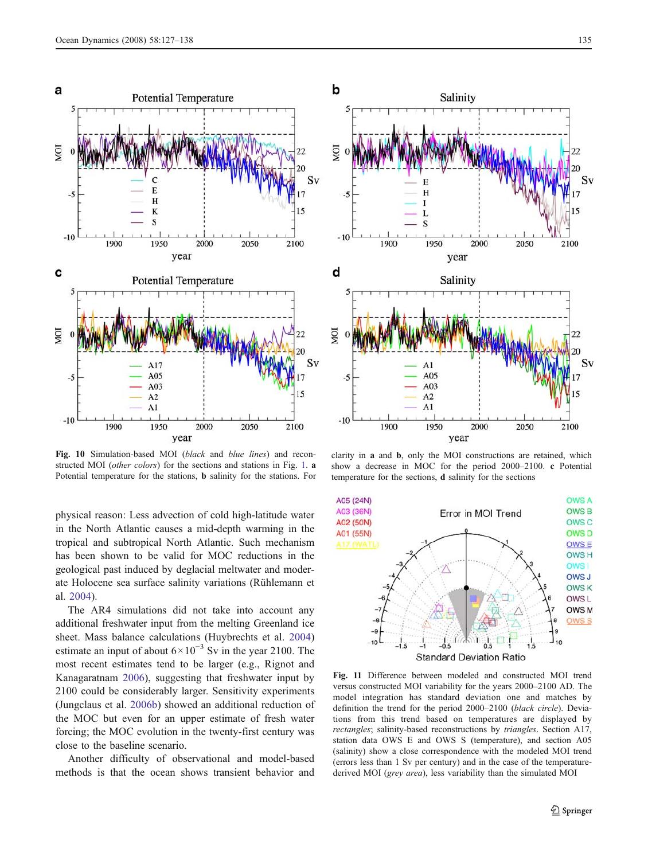<span id="page-8-0"></span>

Fig. 10 Simulation-based MOI (black and blue lines) and reconstructed MOI (*other colors*) for the sections and stations in Fig. [1](#page-2-0). **a** Potential temperature for the stations, b salinity for the stations. For

physical reason: Less advection of cold high-latitude water in the North Atlantic causes a mid-depth warming in the tropical and subtropical North Atlantic. Such mechanism has been shown to be valid for MOC reductions in the geological past induced by deglacial meltwater and moderate Holocene sea surface salinity variations (Rühlemann et al. [2004\)](#page-11-0).

The AR4 simulations did not take into account any additional freshwater input from the melting Greenland ice sheet. Mass balance calculations (Huybrechts et al. [2004\)](#page-10-0) estimate an input of about  $6 \times 10^{-3}$  Sv in the year 2100. The most recent estimates tend to be larger (e.g., Rignot and Kanagaratnam [2006\)](#page-11-0), suggesting that freshwater input by 2100 could be considerably larger. Sensitivity experiments (Jungclaus et al. [2006b\)](#page-10-0) showed an additional reduction of the MOC but even for an upper estimate of fresh water forcing; the MOC evolution in the twenty-first century was close to the baseline scenario.

Another difficulty of observational and model-based methods is that the ocean shows transient behavior and



clarity in a and b, only the MOI constructions are retained, which show a decrease in MOC for the period 2000–2100. c Potential temperature for the sections, d salinity for the sections



Fig. 11 Difference between modeled and constructed MOI trend versus constructed MOI variability for the years 2000–2100 AD. The model integration has standard deviation one and matches by definition the trend for the period 2000–2100 (black circle). Deviations from this trend based on temperatures are displayed by rectangles; salinity-based reconstructions by triangles. Section A17, station data OWS E and OWS S (temperature), and section A05 (salinity) show a close correspondence with the modeled MOI trend (errors less than 1 Sv per century) and in the case of the temperaturederived MOI (grey area), less variability than the simulated MOI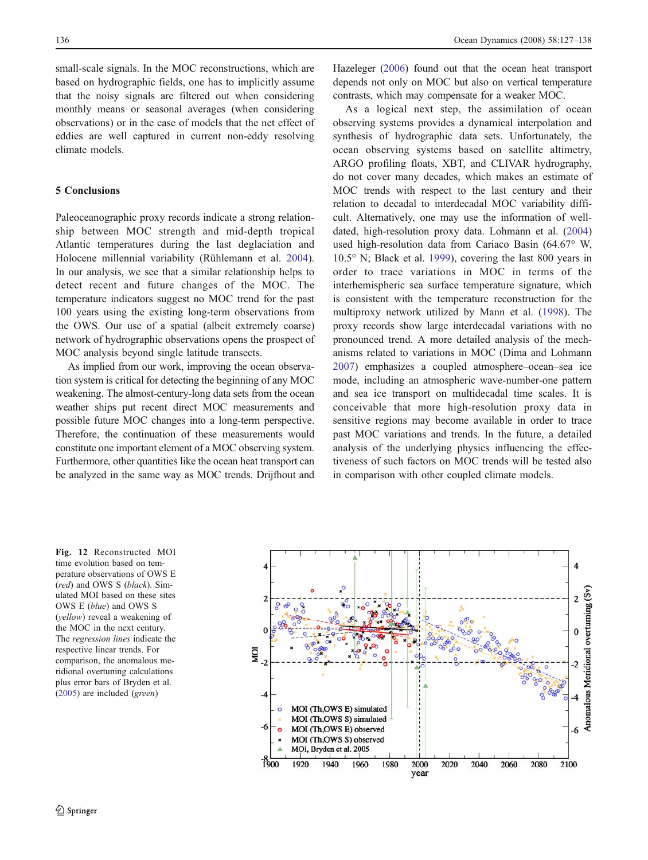<span id="page-9-0"></span>small-scale signals. In the MOC reconstructions, which are based on hydrographic fields, one has to implicitly assume that the noisy signals are filtered out when considering monthly means or seasonal averages (when considering observations) or in the case of models that the net effect of eddies are well captured in current non-eddy resolving climate models.

# 5 Conclusions

Paleoceanographic proxy records indicate a strong relationship between MOC strength and mid-depth tropical Atlantic temperatures during the last deglaciation and Holocene millennial variability (Rühlemann et al. [2004](#page-11-0)). In our analysis, we see that a similar relationship helps to detect recent and future changes of the MOC. The temperature indicators suggest no MOC trend for the past 100 years using the existing long-term observations from the OWS. Our use of a spatial (albeit extremely coarse) network of hydrographic observations opens the prospect of MOC analysis beyond single latitude transects.

As implied from our work, improving the ocean observation system is critical for detecting the beginning of any MOC weakening. The almost-century-long data sets from the ocean weather ships put recent direct MOC measurements and possible future MOC changes into a long-term perspective. Therefore, the continuation of these measurements would constitute one important element of a MOC observing system. Furthermore, other quantities like the ocean heat transport can be analyzed in the same way as MOC trends. Drijfhout and

Hazeleger ([2006](#page-10-0)) found out that the ocean heat transport depends not only on MOC but also on vertical temperature contrasts, which may compensate for a weaker MOC.

As a logical next step, the assimilation of ocean observing systems provides a dynamical interpolation and synthesis of hydrographic data sets. Unfortunately, the ocean observing systems based on satellite altimetry, ARGO profiling floats, XBT, and CLIVAR hydrography, do not cover many decades, which makes an estimate of MOC trends with respect to the last century and their relation to decadal to interdecadal MOC variability difficult. Alternatively, one may use the information of welldated, high-resolution proxy data. Lohmann et al. [\(2004](#page-10-0)) used high-resolution data from Cariaco Basin (64.67° W, 10.5° N; Black et al. [1999](#page-10-0)), covering the last 800 years in order to trace variations in MOC in terms of the interhemispheric sea surface temperature signature, which is consistent with the temperature reconstruction for the multiproxy network utilized by Mann et al. [\(1998](#page-10-0)). The proxy records show large interdecadal variations with no pronounced trend. A more detailed analysis of the mechanisms related to variations in MOC (Dima and Lohmann [2007](#page-10-0)) emphasizes a coupled atmosphere–ocean–sea ice mode, including an atmospheric wave-number-one pattern and sea ice transport on multidecadal time scales. It is conceivable that more high-resolution proxy data in sensitive regions may become available in order to trace past MOC variations and trends. In the future, a detailed analysis of the underlying physics influencing the effectiveness of such factors on MOC trends will be tested also in comparison with other coupled climate models.

Fig. 12 Reconstructed MOI time evolution based on temperature observations of OWS E (red) and OWS S (black). Simulated MOI based on these sites OWS E (blue) and OWS S (yellow) reveal a weakening of the MOC in the next century. The regression lines indicate the respective linear trends. For comparison, the anomalous meridional overtuning calculations plus error bars of Bryden et al. ([2005\)](#page-10-0) are included (green)

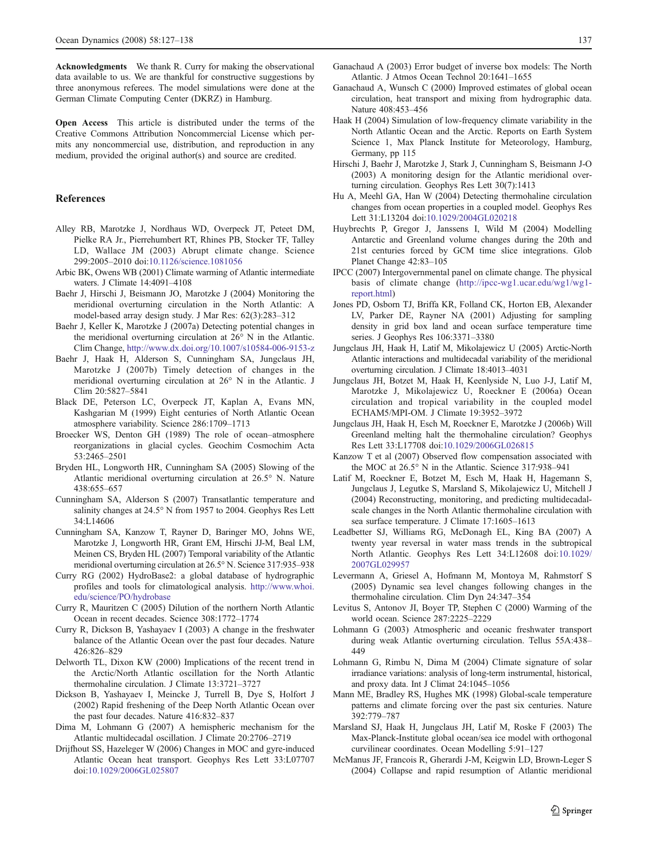<span id="page-10-0"></span>Acknowledgments We thank R. Curry for making the observational data available to us. We are thankful for constructive suggestions by three anonymous referees. The model simulations were done at the German Climate Computing Center (DKRZ) in Hamburg.

Open Access This article is distributed under the terms of the Creative Commons Attribution Noncommercial License which permits any noncommercial use, distribution, and reproduction in any medium, provided the original author(s) and source are credited.

#### References

- Alley RB, Marotzke J, Nordhaus WD, Overpeck JT, Peteet DM, Pielke RA Jr., Pierrehumbert RT, Rhines PB, Stocker TF, Talley LD, Wallace JM (2003) Abrupt climate change. Science 299:2005–2010 doi:[10.1126/science.1081056](dx.doi.org/10.1126/science.1081056)
- Arbic BK, Owens WB (2001) Climate warming of Atlantic intermediate waters. J Climate 14:4091–4108
- Baehr J, Hirschi J, Beismann JO, Marotzke J (2004) Monitoring the meridional overturning circulation in the North Atlantic: A model-based array design study. J Mar Res: 62(3):283–312
- Baehr J, Keller K, Marotzke J (2007a) Detecting potential changes in the meridional overturning circulation at 26° N in the Atlantic. Clim Change, <http://www.dx.doi.org/10.1007/s10584-006-9153-z>
- Baehr J, Haak H, Alderson S, Cunningham SA, Jungclaus JH, Marotzke J (2007b) Timely detection of changes in the meridional overturning circulation at 26° N in the Atlantic. J Clim 20:5827–5841
- Black DE, Peterson LC, Overpeck JT, Kaplan A, Evans MN, Kashgarian M (1999) Eight centuries of North Atlantic Ocean atmosphere variability. Science 286:1709–1713
- Broecker WS, Denton GH (1989) The role of ocean–atmosphere reorganizations in glacial cycles. Geochim Cosmochim Acta 53:2465–2501
- Bryden HL, Longworth HR, Cunningham SA (2005) Slowing of the Atlantic meridional overturning circulation at 26.5° N. Nature 438:655–657
- Cunningham SA, Alderson S (2007) Transatlantic temperature and salinity changes at 24.5° N from 1957 to 2004. Geophys Res Lett 34:L14606
- Cunningham SA, Kanzow T, Rayner D, Baringer MO, Johns WE, Marotzke J, Longworth HR, Grant EM, Hirschi JJ-M, Beal LM, Meinen CS, Bryden HL (2007) Temporal variability of the Atlantic meridional overturning circulation at 26.5° N. Science 317:935–938
- Curry RG (2002) HydroBase2: a global database of hydrographic profiles and tools for climatological analysis. [http://www.whoi.](http://www.whoi.edu/science/PO/hydrobase) [edu/science/PO/hydrobase](http://www.whoi.edu/science/PO/hydrobase)
- Curry R, Mauritzen C (2005) Dilution of the northern North Atlantic Ocean in recent decades. Science 308:1772–1774
- Curry R, Dickson B, Yashayaev I (2003) A change in the freshwater balance of the Atlantic Ocean over the past four decades. Nature 426:826–829
- Delworth TL, Dixon KW (2000) Implications of the recent trend in the Arctic/North Atlantic oscillation for the North Atlantic thermohaline circulation. J Climate 13:3721–3727
- Dickson B, Yashayaev I, Meincke J, Turrell B, Dye S, Holfort J (2002) Rapid freshening of the Deep North Atlantic Ocean over the past four decades. Nature 416:832–837
- Dima M, Lohmann G (2007) A hemispheric mechanism for the Atlantic multidecadal oscillation. J Climate 20:2706–2719
- Drijfhout SS, Hazeleger W (2006) Changes in MOC and gyre-induced Atlantic Ocean heat transport. Geophys Res Lett 33:L07707 doi[:10.1029/2006GL025807](dx.doi.org/10.1029/2006GL025807)
- Ganachaud A (2003) Error budget of inverse box models: The North Atlantic. J Atmos Ocean Technol 20:1641–1655
- Ganachaud A, Wunsch C (2000) Improved estimates of global ocean circulation, heat transport and mixing from hydrographic data. Nature 408:453–456
- Haak H (2004) Simulation of low-frequency climate variability in the North Atlantic Ocean and the Arctic. Reports on Earth System Science 1, Max Planck Institute for Meteorology, Hamburg, Germany, pp 115
- Hirschi J, Baehr J, Marotzke J, Stark J, Cunningham S, Beismann J-O (2003) A monitoring design for the Atlantic meridional overturning circulation. Geophys Res Lett 30(7):1413
- Hu A, Meehl GA, Han W (2004) Detecting thermohaline circulation changes from ocean properties in a coupled model. Geophys Res Lett 31:L13204 doi[:10.1029/2004GL020218](dx.doi.org/10.1029/2004GL020218)
- Huybrechts P, Gregor J, Janssens I, Wild M (2004) Modelling Antarctic and Greenland volume changes during the 20th and 21st centuries forced by GCM time slice integrations. Glob Planet Change 42:83–105
- IPCC (2007) Intergovernmental panel on climate change. The physical basis of climate change [\(http://ipcc-wg1.ucar.edu/wg1/wg1](http://ipcc-wg1.ucar.edu/wg1/wg1-report.html) [report.html\)](http://ipcc-wg1.ucar.edu/wg1/wg1-report.html)
- Jones PD, Osborn TJ, Briffa KR, Folland CK, Horton EB, Alexander LV, Parker DE, Rayner NA (2001) Adjusting for sampling density in grid box land and ocean surface temperature time series. J Geophys Res 106:3371–3380
- Jungclaus JH, Haak H, Latif M, Mikolajewicz U (2005) Arctic-North Atlantic interactions and multidecadal variability of the meridional overturning circulation. J Climate 18:4013–4031
- Jungclaus JH, Botzet M, Haak H, Keenlyside N, Luo J-J, Latif M, Marotzke J, Mikolajewicz U, Roeckner E (2006a) Ocean circulation and tropical variability in the coupled model ECHAM5/MPI-OM. J Climate 19:3952–3972
- Jungclaus JH, Haak H, Esch M, Roeckner E, Marotzke J (2006b) Will Greenland melting halt the thermohaline circulation? Geophys Res Lett 33:L17708 doi:[10.1029/2006GL026815](dx.doi.org/10.1029/2006GL026815)
- Kanzow T et al (2007) Observed flow compensation associated with the MOC at 26.5° N in the Atlantic. Science 317:938–941
- Latif M, Roeckner E, Botzet M, Esch M, Haak H, Hagemann S, Jungclaus J, Legutke S, Marsland S, Mikolajewicz U, Mitchell J (2004) Reconstructing, monitoring, and predicting multidecadalscale changes in the North Atlantic thermohaline circulation with sea surface temperature. J Climate 17:1605–1613
- Leadbetter SJ, Williams RG, McDonagh EL, King BA (2007) A twenty year reversal in water mass trends in the subtropical North Atlantic. Geophys Res Lett 34:L12608 doi:[10.1029/](dx.doi.org/10.1029/2007GL029957) [2007GL029957](dx.doi.org/10.1029/2007GL029957)
- Levermann A, Griesel A, Hofmann M, Montoya M, Rahmstorf S (2005) Dynamic sea level changes following changes in the thermohaline circulation. Clim Dyn 24:347–354
- Levitus S, Antonov JI, Boyer TP, Stephen C (2000) Warming of the world ocean. Science 287:2225–2229
- Lohmann G (2003) Atmospheric and oceanic freshwater transport during weak Atlantic overturning circulation. Tellus 55A:438– 449
- Lohmann G, Rimbu N, Dima M (2004) Climate signature of solar irradiance variations: analysis of long-term instrumental, historical, and proxy data. Int J Climat 24:1045–1056
- Mann ME, Bradley RS, Hughes MK (1998) Global-scale temperature patterns and climate forcing over the past six centuries. Nature 392:779–787
- Marsland SJ, Haak H, Jungclaus JH, Latif M, Roske F (2003) The Max-Planck-Institute global ocean/sea ice model with orthogonal curvilinear coordinates. Ocean Modelling 5:91–127
- McManus JF, Francois R, Gherardi J-M, Keigwin LD, Brown-Leger S (2004) Collapse and rapid resumption of Atlantic meridional